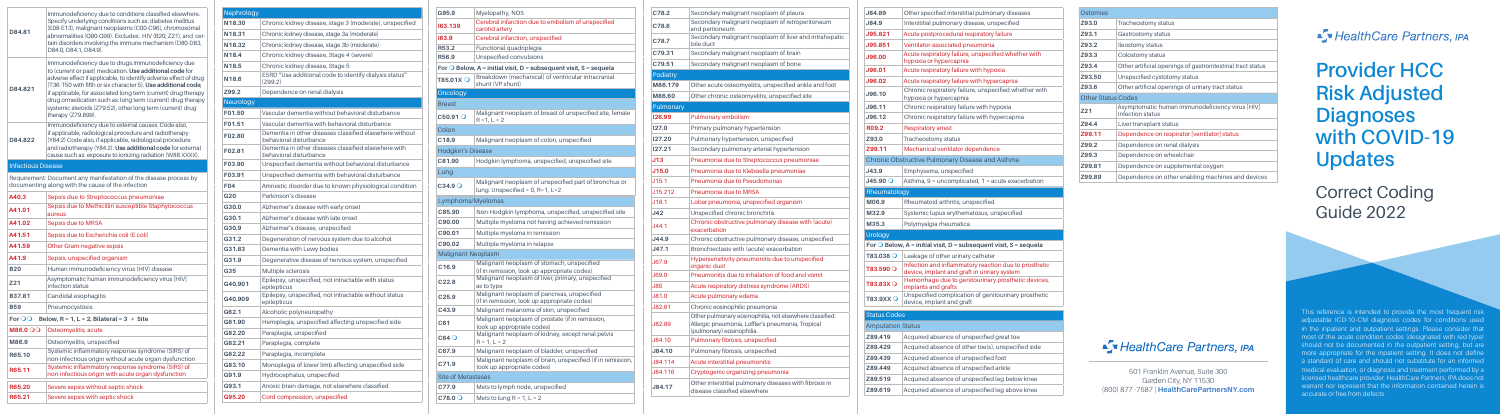# **Provider HCC Risk Adjusted Diagnoses with COVID-19 Updates**

Correct Coding Guide 2022

### Fy HealthCare Partners, IPA

This reference is intended to provide the most frequent risk adjustable ICD-10-CM diagnosis codes for conditions used in the inpatient and outpatient settings. Please consider that most of the acute condition codes (designated with red type) should not be documented in the outpatient setting, but are more appropriate for the inpatient setting. It does not define a standard of care and should not substitute for an informed medical evaluation, or diagnosis and treatment performed by a licensed healthcare provider. HealthCare Partners, IPA does not warrant nor represent that the information contained herein is accurate or free from defects.



| <b>Nephrology</b> |                                                                                   |
|-------------------|-----------------------------------------------------------------------------------|
| N18.30            | Chronic kidney disease, stage 3 (moderate), unspecified                           |
| N18.31            | Chronic kidney disease, stage 3a (moderate)                                       |
| N18.32            | Chronic kidney disease, stage 3b (moderate)                                       |
| N <sub>18.4</sub> | Chronic kidney disease, Stage 4 (severe)                                          |
| N <sub>18.5</sub> | Chronic kidney disease, Stage 5                                                   |
| N <sub>18.6</sub> | ESRD "Use additional code to identify dialysis status"<br>(Z99.2)                 |
| Z99.2             | Dependence on renal dialysis                                                      |
| <b>Neurology</b>  |                                                                                   |
| F01.50            | Vascular dementia without behavioral disturbance                                  |
| F01.51            | Vascular dementia with behavioral disturbance                                     |
| F02.80            | Dementia in other diseases classified elsewhere without<br>behavioral disturbance |
| F02.81            | Dementia in other diseases classified elsewhere with<br>behavioral disturbance    |
| F03.90            | Unspecified dementia without behavioral disturbance                               |
| F03.91            | Unspecified dementia with behavioral disturbance                                  |
| <b>F04</b>        | Amnestic disorder due to known physiological condition                            |
| G20               | Parkinson's disease                                                               |
| G30.0             | Alzheimer's disease with early onset                                              |
| G30.1             | Alzheimer's disease with late onset                                               |
| G30.9             | Alzheimer's disease, unspecified                                                  |
| G31.2             | Degeneration of nervous system due to alcohol                                     |
| G31.83            | Dementia with Lewy bodies                                                         |
| G31.9             | Degenerative disease of nervous system, unspecified                               |
| G35               | <b>Multiple sclerosis</b>                                                         |
| G40.901           | Epilepsy, unspecified, not intractable with status<br>epilepticus                 |
| G40.909           | Epilepsy, unspecified, not intractable without status<br>epilepticus              |
| G62.1             | Alcoholic polyneuropathy                                                          |
| G81.90            | Hemiplegia, unspecified affecting unspecified side                                |
| G82.20            | Paraplegia, unspecified                                                           |
| G82.21            | Paraplegia, complete                                                              |
| G82.22            | Paraplegia, incomplete                                                            |
| G83.10            | Monoplegia of lower limb affecting unspecified side                               |
| G91.9             | Hydrocephalus, unspecified                                                        |
| G93.1             | Anoxic brain damage, not elsewhere classified                                     |
| G95.20            | Cord compression, unspecified                                                     |

| hant neoplasm of pleura                                                      | J84.89                   | Other specified interstitial pulmonary diseases                                                    |
|------------------------------------------------------------------------------|--------------------------|----------------------------------------------------------------------------------------------------|
| nant neoplasm of retroperitoneum                                             | J84.9                    | Interstitial pulmonary disease, unspecified                                                        |
| hant neoplasm of liver and intrahepatic                                      | <b>J95.821</b>           | Acute postprocedural respiratory failure                                                           |
|                                                                              | <b>J95.851</b>           | Ventilator-associated pneumonia                                                                    |
| hant neoplasm of brain                                                       | J96.00                   | Acute respiratory failure, unspecified whether with<br>hypoxia or hypercapnia                      |
| hant neoplasm of bone                                                        | J96.01                   | Acute respiratory failure with hypoxia                                                             |
|                                                                              | <b>J96.02</b>            | Acute respiratory failure with hypercapnia                                                         |
| myelitis, unspecified ankle and foot<br>eomyelitis, unspecified site         | J96.10                   | Chronic respiratory failure, unspecified whether with                                              |
|                                                                              |                          | hypoxia or hypercapnia                                                                             |
|                                                                              | J96.11                   | Chronic respiratory failure with hypoxia                                                           |
| lism                                                                         | J96.12                   | Chronic respiratory failure with hypercapnia                                                       |
| ry hypertension                                                              | R <sub>09.2</sub>        | <b>Respiratory arrest</b>                                                                          |
| tension, unspecified                                                         | Z93.0                    | Tracheostomy status                                                                                |
| onary arterial hypertension                                                  | Z99.11                   | Mechanical ventilator dependence                                                                   |
| o Streptococcus pneumoniae                                                   |                          | Chronic Obstructive Pulmonary Disease and Asthma                                                   |
| o Klebsiella pneumoniae                                                      | J43.9                    | Emphysema, unspecified                                                                             |
| o Pseudomonas                                                                | $J45.90$ $\bigcirc$      | Asthma, 9 = uncomplicated, 1 = acute exacerbation                                                  |
| o MRSA                                                                       | Rheumatology             |                                                                                                    |
| a, unspecified organism                                                      | M06.9                    | Rheumatoid arthritis, unspecified                                                                  |
| nic bronchitis                                                               | M32.9                    | Systemic lupus erythematosus, unspecified                                                          |
| ve pulmonary disease with (acute)                                            | M35.3                    | Polymyalgia rheumatica                                                                             |
| ve pulmonary disease, unspecified                                            | <b>Urology</b>           |                                                                                                    |
| th (acute) exacerbation                                                      |                          | For $\bigcirc$ Below, A = initial visit, D = subsequent visit, S = sequela                         |
| oneumonitis due to unspecified                                               | T83.038 O                | Leakage of other urinary catheter                                                                  |
|                                                                              | $T83.590$ $\circ$        | Infection and inflammatory reaction due to prosthetic                                              |
| to inhalation of food and vomit                                              |                          | device, implant and graft in urinary system<br>Hemorrhage due to genitourinary prosthetic devices, |
| distress syndrome (ARDS)                                                     | $T83.83X$ $\circ$        | implants and grafts                                                                                |
| edema                                                                        | T83.9XX <sub>O</sub>     | Unspecified complication of genitourinary prosthetic<br>device, implant and graft                  |
| ilic pneumonia                                                               |                          |                                                                                                    |
| eosinophilia, not elsewhere classified:<br>ia, Loffler's pneumonia, Tropical | <b>Status Codes</b>      |                                                                                                    |
| ophilia.                                                                     | <b>Amputation Status</b> |                                                                                                    |
| s, unspecified.                                                              | Z89.419                  | Acquired absence of unspecified great toe                                                          |
| s, unspecified                                                               | Z89.429                  | Acquired absence of other toe(s), unspecified side                                                 |
| oneumonitis                                                                  | Z89.439                  | Acquired absence of unspecified foot                                                               |
| nizing pneumonia                                                             | Z89.449                  | Acquired absence of unspecified ankle                                                              |
| ulmonary diseases with fibrosis in                                           | Z89.519                  | Acquired absence of unspecified leg below knee                                                     |
| elsewhere                                                                    | Z89.619                  | Acquired absence of unspecified leg above knee                                                     |
|                                                                              |                          |                                                                                                    |

| C78.2      | Secondary malignant neoplasm of pleura                                                                                                    |  |
|------------|-------------------------------------------------------------------------------------------------------------------------------------------|--|
| C78.6      | Secondary malignant neoplasm of retroperitoneum<br>and peritoneum                                                                         |  |
| C78.7      | Secondary malignant neoplasm of liver and intrahepatic<br>bile duct                                                                       |  |
| C79.31     | Secondary malignant neoplasm of brain                                                                                                     |  |
| C79.51     | Secondary malignant neoplasm of bone                                                                                                      |  |
| Podiatry   |                                                                                                                                           |  |
| M86.179    | Other acute osteomyelitis, unspecified ankle and foot                                                                                     |  |
| M86.60     | Other chronic osteomyelitis, unspecified site                                                                                             |  |
| Pulmonary  |                                                                                                                                           |  |
| 126.99     | Pulmonary embolism                                                                                                                        |  |
| 127.0      | Primary pulmonary hypertension                                                                                                            |  |
| 127.20     | Pulmonary hypertension, unspecified                                                                                                       |  |
| 127.21     | Secondary pulmonary arterial hypertension                                                                                                 |  |
| J13        | Pneumonia due to Streptococcus pneumoniae                                                                                                 |  |
| J15.0      | Pneumonia due to Klebsiella pneumoniae                                                                                                    |  |
| .115.1     | Pneumonia due to Pseudomonas                                                                                                              |  |
| J15.212    | Pneumonia due to MRSA                                                                                                                     |  |
| J18.1      | Lobar pneumonia, unspecified organism                                                                                                     |  |
| J42        | Unspecified chronic bronchitis                                                                                                            |  |
| J44.1      | Chronic obstructive pulmonary disease with (acute)<br>exacerbation                                                                        |  |
| J44.9      | Chronic obstructive pulmonary disease, unspecified                                                                                        |  |
| J47.1      | Bronchiectasis with (acute) exacerbation                                                                                                  |  |
| J67.9      | Hypersensitivity pneumonitis due to unspecified<br>organic dust                                                                           |  |
| J69.0      | Pneumonitis due to inhalation of food and vomit                                                                                           |  |
| <b>J80</b> | Acute respiratory distress syndrome (ARDS)                                                                                                |  |
| J81.0      | Acute pulmonary edema                                                                                                                     |  |
| J82.81     | Chronic eosinophilic pneumonia                                                                                                            |  |
| J82.89     | Other pulmonary eosinophilia, not elsewhere classified:<br>Allergic pneumonia, Loffler's pneumonia, Tropical<br>(pulmonary) eosinophilia. |  |
| J84.10     | Pulmonary fibrosis, unspecified.                                                                                                          |  |
| J84.10     | Pulmonary fibrosis, unspecified                                                                                                           |  |
| J84.114    | Acute interstitial pneumonitis                                                                                                            |  |
| J84.116    | Cryptogenic organizing pneumonia                                                                                                          |  |
| J84.17     | Other interstitial pulmonary diseases with fibrosis in<br>disease classified elsewhere                                                    |  |
|            |                                                                                                                                           |  |

| G95.9                     | Myelopathy, NOS                                                                             |  |  |  |
|---------------------------|---------------------------------------------------------------------------------------------|--|--|--|
| 163.139                   | Cerebral infarction due to embolism of unspecified<br>carotid artery                        |  |  |  |
| 163.9                     | Cerebral infarction, unspecified                                                            |  |  |  |
| R53.2                     | Functional quadriplegia                                                                     |  |  |  |
| R56.9                     | Unspecified convulsions                                                                     |  |  |  |
|                           | For $\bigcirc$ Below, A = initial visit, D = subsequent visit, S = sequela                  |  |  |  |
| T85.01X $\bigcirc$        | Breakdown (mechanical) of ventricular intracranial<br>shunt (VP shunt)                      |  |  |  |
| Oncology                  |                                                                                             |  |  |  |
| <b>Breast</b>             |                                                                                             |  |  |  |
| C50.91O                   | Malignant neoplasm of breast of unspecified site, female<br>$R = 1, L = 2$                  |  |  |  |
| Colon                     |                                                                                             |  |  |  |
| C <sub>18.9</sub>         | Malignant neoplasm of colon, unspecified                                                    |  |  |  |
| <b>Hodgkin's Disease</b>  |                                                                                             |  |  |  |
| C81.90                    | Hodgkin lymphoma, unspecified, unspecified site                                             |  |  |  |
| Lung                      |                                                                                             |  |  |  |
| C34.9O                    | Malignant neoplasm of unspecified part of bronchus or<br>lung. Unspecified = $0$ , R=1, L=2 |  |  |  |
|                           | Lymphoma/Myelomas                                                                           |  |  |  |
| C85.90                    | Non-Hodgkin lymphoma, unspecified, unspecified site                                         |  |  |  |
| C90.00                    | Multiple myeloma not having achieved remission                                              |  |  |  |
| C90.01                    | Multiple myeloma in remission                                                               |  |  |  |
| C90.02                    | Multiple myeloma in relapse                                                                 |  |  |  |
| <b>Malignant Neoplasm</b> |                                                                                             |  |  |  |
| C <sub>16.9</sub>         | Malignant neoplasm of stomach, unspecified<br>(if in remission, look up appropriate codes)  |  |  |  |
| C <sub>22.8</sub>         | Malignant neoplasm of liver, primary, unspecified<br>as to type                             |  |  |  |
| C <sub>25.9</sub>         | Malignant neoplasm of pancreas, unspecified<br>(if in remission, look up appropriate codes) |  |  |  |
| C43.9                     | Malignant melanoma of skin, unspecified                                                     |  |  |  |
| C61                       | Malignant neoplasm of prostate (if in remission,<br>look up appropriate codes)              |  |  |  |
| C64O                      | Malignant neoplasm of kidney, except renal pelvis<br>$R = 1, L = 2$                         |  |  |  |
| C67.9                     | Malignant neoplasm of bladder, unspecified                                                  |  |  |  |
| C71.9                     | Malignant neoplasm of brain, unspecified (if in remission,<br>look up appropriate codes)    |  |  |  |
| <b>Site of Metastases</b> |                                                                                             |  |  |  |
| C77.9                     | Mets to lymph node, unspecified                                                             |  |  |  |
| $C78.0$ <sup>O</sup>      | Mets to lung $R = 1$ , $L = 2$                                                              |  |  |  |

| Ostomies                  |                                                                     |  |  |
|---------------------------|---------------------------------------------------------------------|--|--|
| Z93.0                     | Tracheostomy status                                                 |  |  |
| Z93.1                     | Gastrostomy status                                                  |  |  |
| <b>Z93.2</b>              | <b>Ileostomy status</b>                                             |  |  |
| Z93.3                     | Colostomy status                                                    |  |  |
| <b>Z93.4</b>              | Other artificial openings of gastrointestinal tract status          |  |  |
| Z93.50                    | Unspecified cystotomy status                                        |  |  |
| Z93.6                     | Other artificial openings of urinary tract status                   |  |  |
| <b>Other Status Codes</b> |                                                                     |  |  |
| Z21                       | Asymptomatic human immunodeficiency virus [HIV]<br>infection status |  |  |
| <b>794.4</b>              | Liver transplant status                                             |  |  |
| Z99.11                    | Dependence on respirator [ventilator] status                        |  |  |
| <b>Z99.2</b>              | Dependence on renal dialysis                                        |  |  |
| Z99.3                     | Dependence on wheelchair                                            |  |  |
| Z99.81                    | Dependence on supplemental oxygen                                   |  |  |
| Z99.89                    | Dependence on other enabling machines and devices                   |  |  |

## ST Health Care Partners, IPA

| D84.81                    | Immunodeficiency due to conditions classified elsewhere.<br>Specify underlying conditions such as: diabetes mellitus<br>(E08-E13), malignant neoplasms (C00-C96), chromosomal<br>abnormalities (Q90-Q99). Excludes: HIV (B20, Z21), and cer-<br>tain disorders involving the immune mechanism (D80-D83,<br>D84.0, D84.1, D84.9).                                                                                                                                         |  |  |
|---------------------------|--------------------------------------------------------------------------------------------------------------------------------------------------------------------------------------------------------------------------------------------------------------------------------------------------------------------------------------------------------------------------------------------------------------------------------------------------------------------------|--|--|
| D84.821                   | Immunodeficiency due to drugs.Immunodeficiency due<br>to (current or past) medication. Use additional code for<br>adverse effect if applicable, to identify adverse effect of drug<br>(T36-T50 with fifth or six character 5). Use additional code,<br>if applicable, for associated long term (current) drug therapy<br>drug ormedication such as: long term (current) drug therapy<br>systemic steroids (Z79.52), other long term (current) drug<br>therapy (Z79.899). |  |  |
| D84.822                   | Immunodeficiency due to external causes. Code also,<br>if applicable, radiological procedure and radiotherapy<br>(Y84.2) Code also, if applicable, radiological procedure<br>and radiotherapy (Y84.2). Use additional code for external<br>cause such as: exposure to ionizing radiation (W88.XXXX).                                                                                                                                                                     |  |  |
| <b>Infectious Disease</b> |                                                                                                                                                                                                                                                                                                                                                                                                                                                                          |  |  |
|                           | Requirement: Document any manifestation of the disease process by<br>documenting along with the cause of the infection                                                                                                                                                                                                                                                                                                                                                   |  |  |
| A40.3                     | Sepsis due to Streptococcus pneumoniae                                                                                                                                                                                                                                                                                                                                                                                                                                   |  |  |
| A41.01                    | Sepsis due to Methicillin susceptible Staphylococcus<br>aureus                                                                                                                                                                                                                                                                                                                                                                                                           |  |  |
| A41.02                    | Sepsis due to MRSA                                                                                                                                                                                                                                                                                                                                                                                                                                                       |  |  |
| A41.51                    | Sepsis due to Escherichia coli (E.coli)                                                                                                                                                                                                                                                                                                                                                                                                                                  |  |  |
| A41.59                    | Other Gram-negative sepsis                                                                                                                                                                                                                                                                                                                                                                                                                                               |  |  |
| A41.9                     | Sepsis, unspecified organism                                                                                                                                                                                                                                                                                                                                                                                                                                             |  |  |
| <b>B20</b>                | Human immunodeficiency virus (HIV) disease                                                                                                                                                                                                                                                                                                                                                                                                                               |  |  |
| Z21                       | Asymptomatic human immunodeficiency virus [HIV]<br>infection status                                                                                                                                                                                                                                                                                                                                                                                                      |  |  |
| B37.81                    | Candidal esophagitis                                                                                                                                                                                                                                                                                                                                                                                                                                                     |  |  |
| <b>B59</b>                | Pneumocystosis                                                                                                                                                                                                                                                                                                                                                                                                                                                           |  |  |
| For $OO$                  | Below, $R = 1$ , $L = 2$ , Bilateral = 3 + Site                                                                                                                                                                                                                                                                                                                                                                                                                          |  |  |
| $\overline{000}$ M86.0    | Osteomyelitis, acute                                                                                                                                                                                                                                                                                                                                                                                                                                                     |  |  |
| M86.9                     | Osteomyelitis, unspecified                                                                                                                                                                                                                                                                                                                                                                                                                                               |  |  |
| R65.10                    | Systemic inflammatory response syndrome (SIRS) of<br>non-infectious origin without acute organ dysfunction                                                                                                                                                                                                                                                                                                                                                               |  |  |
| R65.11                    | Systemic inflammatory response syndrome (SIRS) of<br>non-infectious origin with acute organ dysfunction                                                                                                                                                                                                                                                                                                                                                                  |  |  |
| R65.20                    | Severe sepsis without septic shock                                                                                                                                                                                                                                                                                                                                                                                                                                       |  |  |
| R65.21                    | Severe sepsis with septic shock                                                                                                                                                                                                                                                                                                                                                                                                                                          |  |  |
|                           |                                                                                                                                                                                                                                                                                                                                                                                                                                                                          |  |  |

501 Franklin Avenue, Suite 300 Garden City, NY 11530 (800) 877 -7587 | **HealthCarePartnersNY.com**